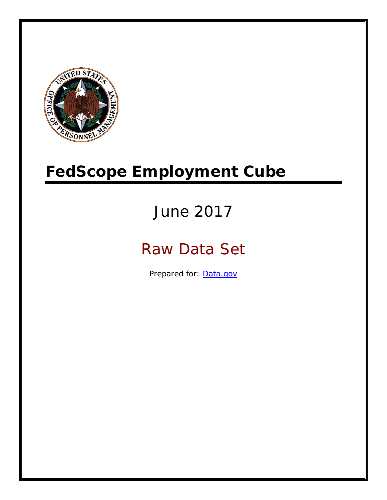

# **FedScope Employment Cube**

# June 2017

# Raw Data Set

Prepared for: [Data.gov](http://www.data.gov/)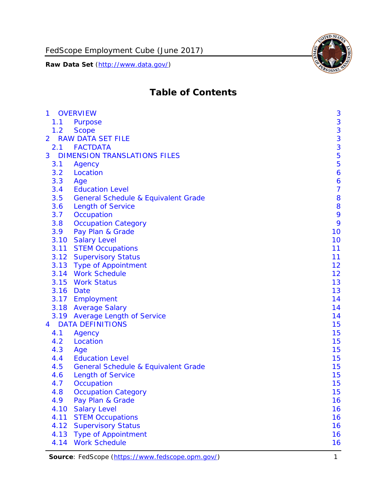

# **Table of Contents**

| $\mathbf{1}$   |      | <b>OVERVIEW</b>                                | 3              |
|----------------|------|------------------------------------------------|----------------|
|                | 1.1  | Purpose                                        | 3              |
|                | 1.2  | <b>Scope</b>                                   | 3              |
| $\overline{2}$ |      | <b>RAW DATA SET FILE</b>                       | 3              |
|                |      | 2.1 FACTDATA                                   | 3              |
| 3              |      | <b>DIMENSION TRANSLATIONS FILES</b>            | 5              |
|                | 3.1  | Agency                                         | 5              |
|                | 3.2  | Location                                       | 6              |
|                | 3.3  | Age                                            | 6              |
|                | 3.4  | <b>Education Level</b>                         | $\overline{7}$ |
|                | 3.5  | <b>General Schedule &amp; Equivalent Grade</b> | 8              |
|                | 3.6  | <b>Length of Service</b>                       | 8              |
|                | 3.7  | Occupation                                     | 9              |
|                | 3.8  | <b>Occupation Category</b>                     | 9              |
|                | 3.9  | Pay Plan & Grade                               | 10             |
|                | 3.10 | <b>Salary Level</b>                            | 10             |
|                | 3.11 | <b>STEM Occupations</b>                        | 11             |
|                |      | 3.12 Supervisory Status                        | 11             |
|                |      | 3.13 Type of Appointment                       | 12             |
|                |      | 3.14 Work Schedule                             | 12             |
|                | 3.15 | <b>Work Status</b>                             | 13             |
|                |      | 3.16 Date                                      | 13             |
|                |      | 3.17 Employment                                | 14             |
|                |      | 3.18 Average Salary                            | 14             |
|                |      | 3.19 Average Length of Service                 | 14             |
| 4              |      | <b>DATA DEFINITIONS</b>                        | 15             |
|                | 4.1  | Agency                                         | 15             |
|                | 4.2  | Location                                       | 15             |
|                | 4.3  | Age                                            | 15             |
|                | 4.4  | <b>Education Level</b>                         | 15             |
|                | 4.5  | <b>General Schedule &amp; Equivalent Grade</b> | 15             |
|                | 4.6  | <b>Length of Service</b>                       | 15             |
|                | 4.7  | Occupation                                     | 15             |
|                | 4.8  | <b>Occupation Category</b>                     | 15             |
|                | 4.9  | Pay Plan & Grade                               | 16             |
|                | 4.10 | <b>Salary Level</b>                            | 16             |
|                | 4.11 | <b>STEM Occupations</b>                        | 16             |
|                | 4.12 | <b>Supervisory Status</b>                      | 16             |
|                | 4.13 | <b>Type of Appointment</b>                     | 16             |
|                | 4.14 | <b>Work Schedule</b>                           | 16             |

Source: FedScope [\(https://www.fedscope.opm.gov/\)](https://www.fedscope.opm.gov/) 1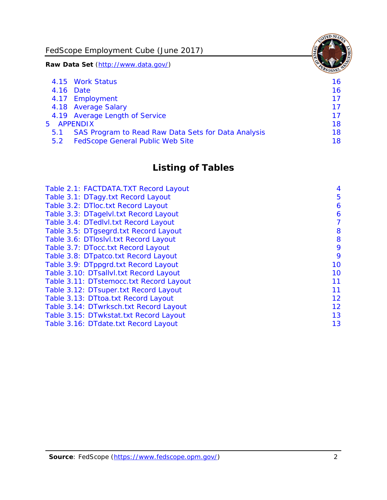FedScope Employment Cube (June 2017)

**Raw Data Set** (http://www.data.gov/)

|               | 4.15 Work Status                                    | 16. |
|---------------|-----------------------------------------------------|-----|
|               | 4.16 Date                                           | 16  |
|               | 4.17 Employment                                     | 17  |
|               | 4.18 Average Salary                                 | 17  |
|               | 4.19 Average Length of Service                      | 17  |
|               | 5 APPENDIX                                          | 18  |
| 5.1           | SAS Program to Read Raw Data Sets for Data Analysis | 18  |
| $5.2^{\circ}$ | <b>FedScope General Public Web Site</b>             | 18  |
|               |                                                     |     |

# **Listing of Tables**

| Table 2.1: FACTDATA.TXT Record Layout   | 4  |
|-----------------------------------------|----|
| Table 3.1: DTagy.txt Record Layout      | 5  |
| Table 3.2: DTloc.txt Record Layout      | 6  |
| Table 3.3: DTagelvl.txt Record Layout   | 6  |
| Table 3.4: DTedlvl.txt Record Layout    | 7  |
| Table 3.5: DTgsegrd.txt Record Layout   | 8  |
| Table 3.6: DTloslvl.txt Record Layout   | 8  |
| Table 3.7: DTocc.txt Record Layout      | 9  |
| Table 3.8: DTpatco.txt Record Layout    | 9  |
| Table 3.9: DTppgrd.txt Record Layout    | 10 |
| Table 3.10: DTsallvl.txt Record Layout  | 10 |
| Table 3.11: DTstemocc.txt Record Layout | 11 |
| Table 3.12: DTsuper.txt Record Layout   | 11 |
| Table 3.13: DTtoa.txt Record Layout     | 12 |
| Table 3.14: DTwrksch.txt Record Layout  | 12 |
| Table 3.15: DTwkstat.txt Record Layout  | 13 |
| Table 3.16: DTdate.txt Record Layout    | 13 |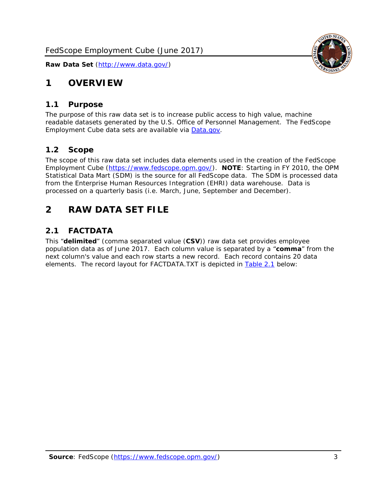

### <span id="page-3-0"></span>**1 OVERVIEW**

#### <span id="page-3-1"></span>*1.1 Purpose*

The purpose of this raw data set is to increase public access to high value, machine readable datasets generated by the U.S. Office of Personnel Management. The FedScope Employment Cube data sets are available via [Data.gov.](http://www.data.gov/)

#### <span id="page-3-2"></span>*1.2 Scope*

The scope of this raw data set includes data elements used in the creation of the FedScope Employment Cube [\(https://www.fedscope.opm.gov/\)](https://www.fedscope.opm.gov/). **NOTE**: Starting in FY 2010, the OPM Statistical Data Mart (SDM) is the source for all FedScope data. The SDM is processed data from the Enterprise Human Resources Integration (EHRI) data warehouse. Data is processed on a quarterly basis (i.e. March, June, September and December).

### <span id="page-3-3"></span>**2 RAW DATA SET FILE**

#### <span id="page-3-4"></span>*2.1 FACTDATA*

This "**delimited**" (comma separated value (**CSV**)) raw data set provides employee population data as of June 2017. Each column value is separated by a "**comma**" from the next column's value and each row starts a new record. Each record contains 20 data elements. The record layout for FACTDATA.TXT is depicted in [Table 2.1](#page-4-0) below: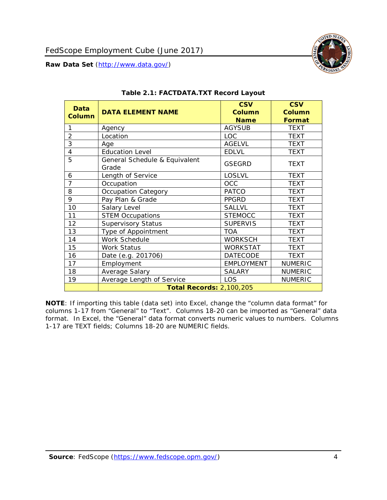<span id="page-4-0"></span>

#### **Table 2.1: FACTDATA.TXT Record Layout**

**NOTE**: If importing this table (data set) into Excel, change the "column data format" for columns 1-17 from "General" to "Text". Columns 18-20 can be imported as "General" data format. In Excel, the "General" data format converts numeric values to numbers. Columns 1-17 are TEXT fields; Columns 18-20 are NUMERIC fields.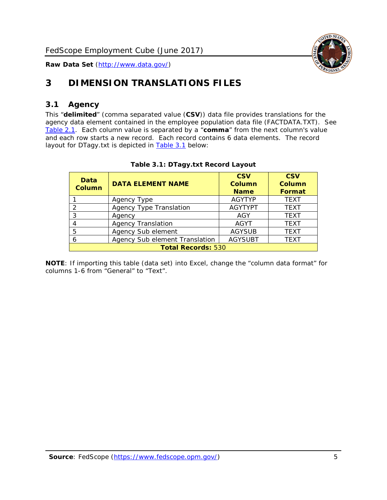

## <span id="page-5-0"></span>**3 DIMENSION TRANSLATIONS FILES**

#### <span id="page-5-1"></span>*3.1 Agency*

This "**delimited**" (comma separated value (**CSV**)) data file provides translations for the agency data element contained in the employee population data file (FACTDATA.TXT). See [Table](#page-4-0) 2.1. Each column value is separated by a "**comma**" from the next column's value and each row starts a new record. Each record contains 6 data elements. The record layout for DTagy.txt is depicted in **[Table 3.1](#page-5-2)** below:

<span id="page-5-2"></span>

| Data<br><b>Column</b>     | <b>DATA ELEMENT NAME</b>       | <b>CSV</b><br>Column<br><b>Name</b> | <b>CSV</b><br><b>Column</b><br>Format |
|---------------------------|--------------------------------|-------------------------------------|---------------------------------------|
|                           | Agency Type                    | <b>AGYTYP</b>                       | <b>TEXT</b>                           |
|                           | <b>Agency Type Translation</b> | <b>AGYTYPT</b>                      | <b>TEXT</b>                           |
| 3                         | Agency                         | AGY                                 | <b>TEXT</b>                           |
|                           | <b>Agency Translation</b>      | <b>AGYT</b>                         | <b>TEXT</b>                           |
| 5                         | Agency Sub element             | <b>AGYSUB</b>                       | <b>TEXT</b>                           |
| 6                         | Agency Sub element Translation | <b>AGYSUBT</b>                      | <b>TEXT</b>                           |
| <b>Total Records: 530</b> |                                |                                     |                                       |

#### **Table 3.1: DTagy.txt Record Layout**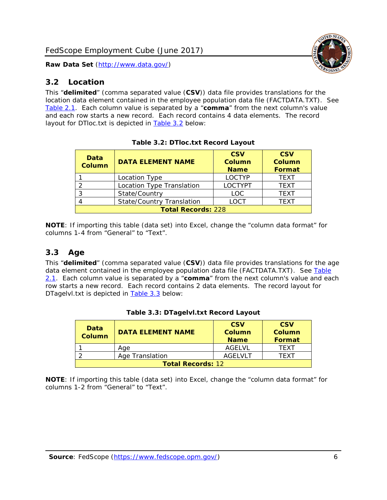#### <span id="page-6-0"></span>*3.2 Location*

This "**delimited**" (comma separated value (**CSV**)) data file provides translations for the location data element contained in the employee population data file (FACTDATA.TXT). See [Table 2.1.](#page-4-0) Each column value is separated by a "**comma**" from the next column's value and each row starts a new record. Each record contains 4 data elements. The record layout for DTloc.txt is depicted in [Table 3.2](#page-6-2) below:

<span id="page-6-2"></span>

| Data<br><b>Column</b>     | <b>DATA ELEMENT NAME</b>         | <b>CSV</b><br><b>Column</b><br><b>Name</b> | <b>CSV</b><br><b>Column</b><br>Format |
|---------------------------|----------------------------------|--------------------------------------------|---------------------------------------|
|                           | Location Type                    | <b>LOCTYP</b>                              | <b>TEXT</b>                           |
|                           | Location Type Translation        | <b>LOCTYPT</b>                             | <b>TEXT</b>                           |
| 3                         | State/Country                    | <b>LOC</b>                                 | <b>TFXT</b>                           |
|                           | <b>State/Country Translation</b> | <b>LOCT</b>                                | <b>TEXT</b>                           |
| <b>Total Records: 228</b> |                                  |                                            |                                       |

**Table 3.2: DTloc.txt Record Layout**

**NOTE**: If importing this table (data set) into Excel, change the "column data format" for columns 1-4 from "General" to "Text".

#### <span id="page-6-1"></span>*3.3 Age*

This "**delimited**" (comma separated value (**CSV**)) data file provides translations for the age data element contained in the employee population data file (FACTDATA.TXT). See Table [2.1.](#page-4-0) Each column value is separated by a "**comma**" from the next column's value and each row starts a new record. Each record contains 2 data elements. The record layout for DTagelvl.txt is depicted in [Table 3.3](#page-6-3) below:

<span id="page-6-3"></span>

| <b>Data</b><br>Column    | <b>DATA ELEMENT NAME</b> | <b>CSV</b><br>Column<br><b>Name</b> | <b>CSV</b><br>Column<br><b>Format</b> |
|--------------------------|--------------------------|-------------------------------------|---------------------------------------|
|                          | Aae                      | AGFI VI                             | TFXT                                  |
|                          | Age Translation          | AGFI VI T                           | TFXT                                  |
| <b>Total Records: 12</b> |                          |                                     |                                       |

| Table 3.3: DTagelvl.txt Record Layout |  |
|---------------------------------------|--|
|---------------------------------------|--|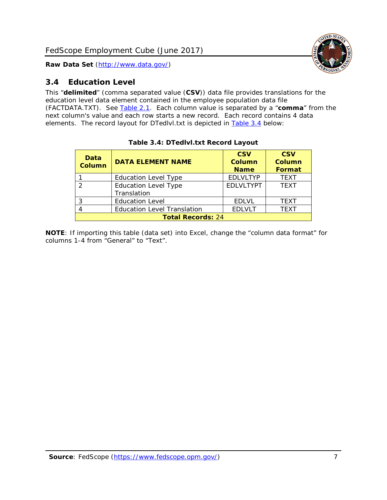

#### <span id="page-7-0"></span>*3.4 Education Level*

This "**delimited**" (comma separated value (**CSV**)) data file provides translations for the education level data element contained in the employee population data file (FACTDATA.TXT). See [Table 2.1.](#page-4-0) Each column value is separated by a "**comma**" from the next column's value and each row starts a new record. Each record contains 4 data elements. The record layout for DTedlvl.txt is depicted in [Table 3.4](#page-7-1) below:

<span id="page-7-1"></span>

| Data<br><b>Column</b>    | <b>DATA ELEMENT NAME</b>           | <b>CSV</b><br><b>Column</b><br><b>Name</b> | <b>CSV</b><br><b>Column</b><br><b>Format</b> |
|--------------------------|------------------------------------|--------------------------------------------|----------------------------------------------|
|                          | <b>Education Level Type</b>        | <b>EDLVLTYP</b>                            | <b>TFXT</b>                                  |
| $\mathcal{P}$            | <b>Education Level Type</b>        | <b>EDLVLTYPT</b>                           | <b>TFXT</b>                                  |
|                          | Translation                        |                                            |                                              |
| 3                        | <b>Education Level</b>             | <b>EDLVL</b>                               | <b>TEXT</b>                                  |
| 4                        | <b>Education Level Translation</b> | <b>EDLVLT</b>                              | <b>TEXT</b>                                  |
| <b>Total Records: 24</b> |                                    |                                            |                                              |

#### **Table 3.4: DTedlvl.txt Record Layout**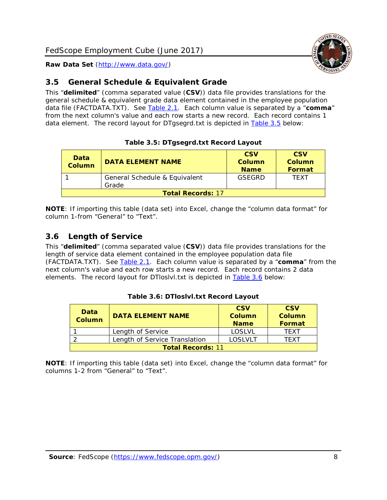

#### <span id="page-8-0"></span>*3.5 General Schedule & Equivalent Grade*

This "**delimited**" (comma separated value (**CSV**)) data file provides translations for the general schedule & equivalent grade data element contained in the employee population data file (FACTDATA.TXT). See [Table 2.1.](#page-4-0) Each column value is separated by a "**comma**" from the next column's value and each row starts a new record. Each record contains 1 data element. The record layout for DTgsegrd.txt is depicted in [Table 3.5](#page-8-2) below:

<span id="page-8-2"></span>

| Data<br><b>Column</b>    | <b>DATA ELEMENT NAME</b>      | <b>CSV</b><br>Column<br><b>Name</b> | <b>CSV</b><br><b>Column</b><br>Format |
|--------------------------|-------------------------------|-------------------------------------|---------------------------------------|
|                          | General Schedule & Equivalent | GSEGRD                              | <b>TFXT</b>                           |
|                          | Grade                         |                                     |                                       |
| <b>Total Records: 17</b> |                               |                                     |                                       |

#### **Table 3.5: DTgsegrd.txt Record Layout**

**NOTE**: If importing this table (data set) into Excel, change the "column data format" for column 1-from "General" to "Text".

#### <span id="page-8-1"></span>*3.6 Length of Service*

This "**delimited**" (comma separated value (**CSV**)) data file provides translations for the length of service data element contained in the employee population data file (FACTDATA.TXT). See [Table 2.1.](#page-4-0) Each column value is separated by a "**comma**" from the next column's value and each row starts a new record. Each record contains 2 data elements. The record layout for DTloslvl.txt is depicted in **Table 3.6** below:

<span id="page-8-3"></span>

| Data<br><b>Column</b>    | <b>DATA ELEMENT NAME</b>      | <b>CSV</b><br><b>Column</b><br><b>Name</b> | <b>CSV</b><br>Column<br><b>Format</b> |
|--------------------------|-------------------------------|--------------------------------------------|---------------------------------------|
|                          | Length of Service             | LOSLVL                                     | TFXT                                  |
|                          | Length of Service Translation | LOSLVLT                                    | TFXT                                  |
| <b>Total Records: 11</b> |                               |                                            |                                       |

#### **Table 3.6: DTloslvl.txt Record Layout**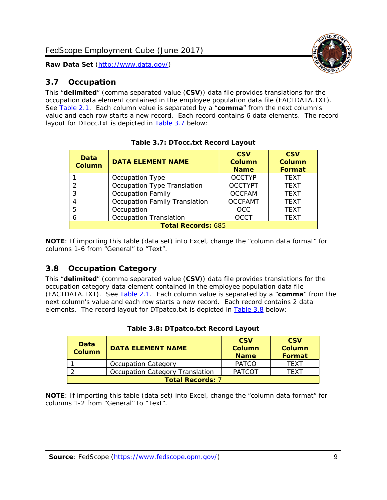#### <span id="page-9-0"></span>*3.7 Occupation*

This "**delimited**" (comma separated value (**CSV**)) data file provides translations for the occupation data element contained in the employee population data file (FACTDATA.TXT). See [Table 2.1.](#page-4-0) Each column value is separated by a "**comma**" from the next column's value and each row starts a new record. Each record contains 6 data elements. The record layout for DTocc.txt is depicted in [Table 3.7](#page-9-2) below:

<span id="page-9-2"></span>

| Data<br><b>Column</b>     | <b>DATA ELEMENT NAME</b>             | <b>CSV</b><br><b>Column</b><br><b>Name</b> | <b>CSV</b><br>Column<br>Format |
|---------------------------|--------------------------------------|--------------------------------------------|--------------------------------|
|                           | Occupation Type                      | <b>OCCTYP</b>                              | <b>TEXT</b>                    |
| 2                         | Occupation Type Translation          | <b>OCCTYPT</b>                             | <b>TEXT</b>                    |
| 3                         | <b>Occupation Family</b>             | <b>OCCFAM</b>                              | <b>TEXT</b>                    |
|                           | <b>Occupation Family Translation</b> | <b>OCCFAMT</b>                             | <b>TEXT</b>                    |
| 5                         | Occupation                           | <b>OCC</b>                                 | <b>TEXT</b>                    |
| 6                         | <b>Occupation Translation</b>        | <b>OCCT</b>                                | <b>TEXT</b>                    |
| <b>Total Records: 685</b> |                                      |                                            |                                |

**NOTE**: If importing this table (data set) into Excel, change the "column data format" for columns 1-6 from "General" to "Text".

#### <span id="page-9-1"></span>*3.8 Occupation Category*

This "**delimited**" (comma separated value (**CSV**)) data file provides translations for the occupation category data element contained in the employee population data file (FACTDATA.TXT). See [Table 2.1.](#page-4-0) Each column value is separated by a "**comma**" from the next column's value and each row starts a new record. Each record contains 2 data elements. The record layout for DTpatco.txt is depicted in [Table 3.8](#page-9-3) below:

<span id="page-9-3"></span>

| Data<br><b>Column</b>   | <b>DATA ELEMENT NAME</b>        | <b>CSV</b><br><b>Column</b><br><b>Name</b> | <b>CSV</b><br>Column<br><b>Format</b> |
|-------------------------|---------------------------------|--------------------------------------------|---------------------------------------|
|                         | <b>Occupation Category</b>      | <b>PATCO</b>                               | <b>TFXT</b>                           |
|                         | Occupation Category Translation | <b>PATCOT</b>                              | TFXT                                  |
| <b>Total Records: 7</b> |                                 |                                            |                                       |

|  | Table 3.8: DTpatco.txt Record Layout |  |
|--|--------------------------------------|--|
|  |                                      |  |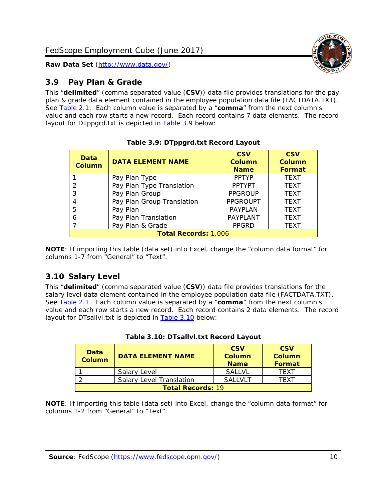

#### <span id="page-10-0"></span>*3.9 Pay Plan & Grade*

This "**delimited**" (comma separated value (**CSV**)) data file provides translations for the pay plan & grade data element contained in the employee population data file (FACTDATA.TXT). See [Table 2.1.](#page-4-0) Each column value is separated by a "**comma**" from the next column's value and each row starts a new record. Each record contains 7 data elements. The record layout for DTppgrd.txt is depicted in [Table 3.9](#page-10-2) below:

<span id="page-10-2"></span>

| Data<br><b>Column</b> | <b>DATA ELEMENT NAME</b>    | <b>CSV</b><br>Column<br><b>Name</b> | <b>CSV</b><br><b>Column</b><br>Format |  |  |
|-----------------------|-----------------------------|-------------------------------------|---------------------------------------|--|--|
|                       | Pay Plan Type               | <b>PPTYP</b>                        | <b>TEXT</b>                           |  |  |
| $\overline{2}$        | Pay Plan Type Translation   | <b>PPTYPT</b>                       | <b>TEXT</b>                           |  |  |
| 3                     | Pay Plan Group              | <b>PPGROUP</b>                      | <b>TEXT</b>                           |  |  |
| 4                     | Pay Plan Group Translation  | <b>PPGROUPT</b>                     | <b>TEXT</b>                           |  |  |
| 5                     | Pay Plan                    | <b>PAYPLAN</b>                      | <b>TEXT</b>                           |  |  |
| 6                     | Pay Plan Translation        | PAYPLANT                            | <b>TEXT</b>                           |  |  |
| $\overline{ }$        | Pay Plan & Grade            | <b>PPGRD</b>                        | <b>TEXT</b>                           |  |  |
|                       | <b>Total Records: 1,006</b> |                                     |                                       |  |  |

**Table 3.9: DTppgrd.txt Record Layout**

**NOTE**: If importing this table (data set) into Excel, change the "column data format" for columns 1-7 from "General" to "Text".

#### <span id="page-10-1"></span>*3.10 Salary Level*

This "**delimited**" (comma separated value (**CSV**)) data file provides translations for the salary level data element contained in the employee population data file (FACTDATA.TXT). See [Table 2.1.](#page-4-0) Each column value is separated by a "**comma**" from the next column's value and each row starts a new record. Each record contains 2 data elements. The record layout for DTsallvl.txt is depicted in **Table 3.10** below:

<span id="page-10-3"></span>

| Data<br><b>Column</b>    | <b>DATA ELEMENT NAME</b>        | <b>CSV</b><br><b>Column</b><br><b>Name</b> | <b>CSV</b><br>Column<br><b>Format</b> |
|--------------------------|---------------------------------|--------------------------------------------|---------------------------------------|
|                          | Salary Level                    | <b>SALLVL</b>                              | <b>TFXT</b>                           |
|                          | <b>Salary Level Translation</b> | <b>SALLVLT</b>                             | TFXT                                  |
| <b>Total Records: 19</b> |                                 |                                            |                                       |

|  | Table 3.10: DTsallvl.txt Record Layout |  |  |
|--|----------------------------------------|--|--|
|--|----------------------------------------|--|--|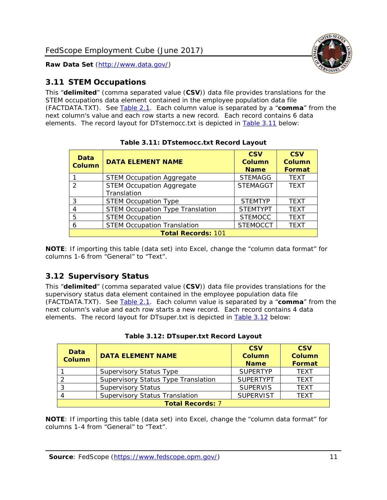

#### <span id="page-11-0"></span>*3.11 STEM Occupations*

This "**delimited**" (comma separated value (**CSV**)) data file provides translations for the STEM occupations data element contained in the employee population data file (FACTDATA.TXT). See [Table 2.1.](#page-4-0) Each column value is separated by a "**comma**" from the next column's value and each row starts a new record. Each record contains 6 data elements. The record layout for DTstemocc.txt is depicted in [Table 3.11](#page-11-2) below:

<span id="page-11-2"></span>

| <b>Data</b><br><b>Column</b> | <b>DATA ELEMENT NAME</b>                | <b>CSV</b><br>Column<br><b>Name</b> | <b>CSV</b><br><b>Column</b><br><b>Format</b> |
|------------------------------|-----------------------------------------|-------------------------------------|----------------------------------------------|
|                              | <b>STEM Occupation Aggregate</b>        | <b>STEMAGG</b>                      | <b>TEXT</b>                                  |
| $\mathcal{P}$                | <b>STEM Occupation Aggregate</b>        | <b>STEMAGGT</b>                     | <b>TEXT</b>                                  |
|                              | Translation                             |                                     |                                              |
| 3                            | <b>STEM Occupation Type</b>             | <b>STEMTYP</b>                      | <b>TEXT</b>                                  |
| 4                            | <b>STEM Occupation Type Translation</b> | <b>STEMTYPT</b>                     | <b>TEXT</b>                                  |
| 5                            | <b>STEM Occupation</b>                  | <b>STEMOCC</b>                      | <b>TEXT</b>                                  |
| 6                            | <b>STEM Occupation Translation</b>      | <b>STEMOCCT</b>                     | <b>TEXT</b>                                  |
|                              | <b>Total Records: 101</b>               |                                     |                                              |

**Table 3.11: DTstemocc.txt Record Layout**

**NOTE**: If importing this table (data set) into Excel, change the "column data format" for columns 1-6 from "General" to "Text".

#### <span id="page-11-1"></span>*3.12 Supervisory Status*

This "**delimited**" (comma separated value (**CSV**)) data file provides translations for the supervisory status data element contained in the employee population data file (FACTDATA.TXT). See [Table 2.1.](#page-4-0) Each column value is separated by a "**comma**" from the next column's value and each row starts a new record. Each record contains 4 data elements. The record layout for DTsuper.txt is depicted in [Table 3.12](#page-11-3) below:

<span id="page-11-3"></span>

| Data<br><b>Column</b>   | <b>DATA ELEMENT NAME</b>              | <b>CSV</b><br>Column<br><b>Name</b> | <b>CSV</b><br>Column<br>Format |  |
|-------------------------|---------------------------------------|-------------------------------------|--------------------------------|--|
|                         | <b>Supervisory Status Type</b>        | <b>SUPERTYP</b>                     | <b>TEXT</b>                    |  |
|                         | Supervisory Status Type Translation   | <b>SUPERTYPT</b>                    | <b>TEXT</b>                    |  |
|                         | <b>Supervisory Status</b>             | <b>SUPERVIS</b>                     | <b>TEXT</b>                    |  |
|                         | <b>Supervisory Status Translation</b> | <b>SUPERVIST</b>                    | <b>TEXT</b>                    |  |
| <b>Total Records: 7</b> |                                       |                                     |                                |  |

**Table 3.12: DTsuper.txt Record Layout**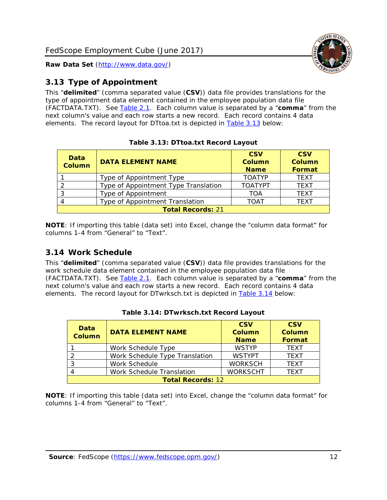

#### <span id="page-12-0"></span>*3.13 Type of Appointment*

This "**delimited**" (comma separated value (**CSV**)) data file provides translations for the type of appointment data element contained in the employee population data file (FACTDATA.TXT). See [Table 2.1.](#page-4-0) Each column value is separated by a "**comma**" from the next column's value and each row starts a new record. Each record contains 4 data elements. The record layout for DTtoa.txt is depicted in [Table 3.13](#page-12-2) below:

<span id="page-12-2"></span>

| Data<br><b>Column</b>    | <b>DATA ELEMENT NAME</b>             | <b>CSV</b><br><b>Column</b><br><b>Name</b> | <b>CSV</b><br><b>Column</b><br>Format |  |
|--------------------------|--------------------------------------|--------------------------------------------|---------------------------------------|--|
|                          | Type of Appointment Type             | <b>TOATYP</b>                              | <b>TEXT</b>                           |  |
|                          | Type of Appointment Type Translation | <b>TOATYPT</b>                             | <b>TEXT</b>                           |  |
| 3                        | Type of Appointment                  | TOA                                        | <b>TEXT</b>                           |  |
| 4                        | Type of Appointment Translation      | <b>TOAT</b>                                | <b>TFXT</b>                           |  |
| <b>Total Records: 21</b> |                                      |                                            |                                       |  |

|  | Table 3.13: DTtoa.txt Record Layout |  |
|--|-------------------------------------|--|
|  |                                     |  |

**NOTE**: If importing this table (data set) into Excel, change the "column data format" for columns 1-4 from "General" to "Text".

#### <span id="page-12-1"></span>*3.14 Work Schedule*

This "**delimited**" (comma separated value (**CSV**)) data file provides translations for the work schedule data element contained in the employee population data file (FACTDATA.TXT). See [Table 2.1.](#page-4-0) Each column value is separated by a "**comma**" from the next column's value and each row starts a new record. Each record contains 4 data elements. The record layout for DTwrksch.txt is depicted in [Table 3.14](#page-12-3) below:

<span id="page-12-3"></span>

| Data<br><b>Column</b>    | <b>DATA ELEMENT NAME</b>       | <b>CSV</b><br><b>Column</b><br><b>Name</b> | <b>CSV</b><br>Column<br><b>Format</b> |  |
|--------------------------|--------------------------------|--------------------------------------------|---------------------------------------|--|
|                          | Work Schedule Type             | <b>WSTYP</b>                               | <b>TEXT</b>                           |  |
| $\mathcal{D}$            | Work Schedule Type Translation | <b>WSTYPT</b>                              | <b>TEXT</b>                           |  |
| -3                       | Work Schedule                  | <b>WORKSCH</b>                             | <b>TFXT</b>                           |  |
|                          | Work Schedule Translation      | <b>WORKSCHT</b>                            | <b>TEXT</b>                           |  |
| <b>Total Records: 12</b> |                                |                                            |                                       |  |

|  | Table 3.14: DTwrksch.txt Record Layout |  |  |
|--|----------------------------------------|--|--|
|--|----------------------------------------|--|--|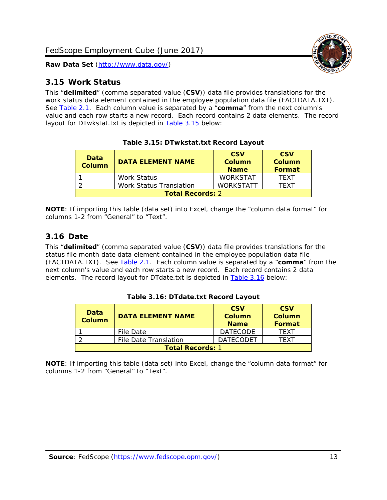

<span id="page-13-0"></span>

This "**delimited**" (comma separated value (**CSV**)) data file provides translations for the work status data element contained in the employee population data file (FACTDATA.TXT). See [Table 2.1.](#page-4-0) Each column value is separated by a "**comma**" from the next column's value and each row starts a new record. Each record contains 2 data elements. The record layout for DTwkstat.txt is depicted in [Table 3.15](#page-13-2) below:

<span id="page-13-2"></span>

| <b>Data</b><br><b>Column</b> | <b>DATA ELEMENT NAME</b>       | <b>CSV</b><br>Column<br><b>Name</b> | <b>CSV</b><br>Column<br><b>Format</b> |
|------------------------------|--------------------------------|-------------------------------------|---------------------------------------|
|                              | <b>Work Status</b>             | <b>WORKSTAT</b>                     | <b>TFXT</b>                           |
|                              | <b>Work Status Translation</b> | <b>WORKSTATT</b>                    | TFXT                                  |
| <b>Total Records: 2</b>      |                                |                                     |                                       |

**Table 3.15: DTwkstat.txt Record Layout**

**NOTE**: If importing this table (data set) into Excel, change the "column data format" for columns 1-2 from "General" to "Text".

#### <span id="page-13-1"></span>*3.16 Date*

This "**delimited**" (comma separated value (**CSV**)) data file provides translations for the status file month date data element contained in the employee population data file (FACTDATA.TXT). See [Table 2.1.](#page-4-0) Each column value is separated by a "**comma**" from the next column's value and each row starts a new record. Each record contains 2 data elements. The record layout for DTdate.txt is depicted in [Table 3.16](#page-13-3) below:

<span id="page-13-3"></span>

| Data<br><b>Column</b>   | <b>DATA ELEMENT NAME</b> | <b>CSV</b><br>Column<br><b>Name</b> | <b>CSV</b><br>Column<br>Format |
|-------------------------|--------------------------|-------------------------------------|--------------------------------|
|                         | File Date                | <b>DATECODE</b>                     | <b>TFXT</b>                    |
|                         | File Date Translation    | <b>DATECODET</b>                    | TFXT                           |
| <b>Total Records: 1</b> |                          |                                     |                                |

**Table 3.16: DTdate.txt Record Layout**

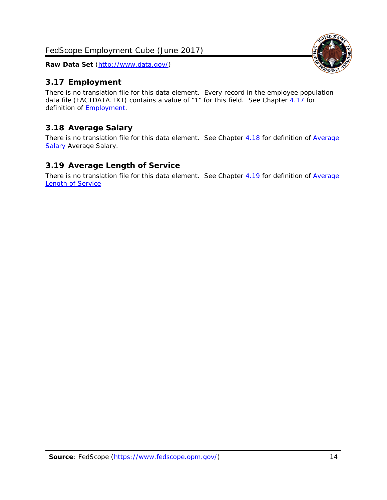#### <span id="page-14-0"></span>*3.17 Employment*

There is no translation file for this data element. Every record in the employee population data file (FACTDATA.TXT) contains a value of "1" for this field. See Chapter [4.17](#page-16-8) for definition of [Employment.](#page-17-0)

#### <span id="page-14-1"></span>*3.18 Average Salary*

There is no translation file for this data element. See Chapter [4.18](#page-17-1) for definition of Average [Salary](#page-17-1) [Average Salary.](#page-17-1)

#### <span id="page-14-2"></span>*3.19 Average Length of Service*

There is no translation file for this data element. See Chapter [4.19](#page-17-2) for definition of Average **[Length of Service](#page-17-2)** 

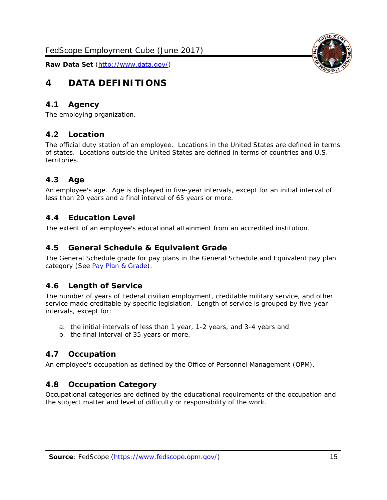## <span id="page-15-0"></span>**4 DATA DEFINITIONS**

#### <span id="page-15-1"></span>*4.1 Agency*

<span id="page-15-2"></span>The employing organization.

#### *4.2 Location*

The official duty station of an employee. Locations in the United States are defined in terms of states. Locations outside the United States are defined in terms of countries and U.S. territories.

#### <span id="page-15-3"></span>*4.3 Age*

An employee's age. Age is displayed in five-year intervals, except for an initial interval of less than 20 years and a final interval of 65 years or more.

#### <span id="page-15-4"></span>*4.4 Education Level*

<span id="page-15-5"></span>The extent of an employee's educational attainment from an accredited institution.

#### *4.5 General Schedule & Equivalent Grade*

The General Schedule grade for pay plans in the General Schedule and Equivalent pay plan category (See [Pay Plan & Grade\)](#page-16-0).

#### <span id="page-15-6"></span>*4.6 Length of Service*

The number of years of Federal civilian employment, creditable military service, and other service made creditable by specific legislation. Length of service is grouped by five-year intervals, except for:

- a. the initial intervals of less than 1 year, 1-2 years, and 3-4 years and
- b. the final interval of 35 years or more.

#### <span id="page-15-7"></span>*4.7 Occupation*

<span id="page-15-8"></span>An employee's occupation as defined by the Office of Personnel Management (OPM).

#### *4.8 Occupation Category*

Occupational categories are defined by the educational requirements of the occupation and the subject matter and level of difficulty or responsibility of the work.

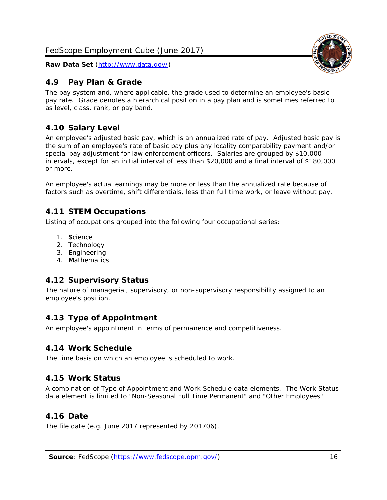#### <span id="page-16-0"></span>*4.9 Pay Plan & Grade*

The pay system and, where applicable, the grade used to determine an employee's basic pay rate. Grade denotes a hierarchical position in a pay plan and is sometimes referred to as level, class, rank, or pay band.

#### <span id="page-16-1"></span>*4.10 Salary Level*

An employee's adjusted basic pay, which is an annualized rate of pay. Adjusted basic pay is the sum of an employee's rate of basic pay plus any locality comparability payment and/or special pay adjustment for law enforcement officers. Salaries are grouped by \$10,000 intervals, except for an initial interval of less than \$20,000 and a final interval of \$180,000 or more.

An employee's actual earnings may be more or less than the annualized rate because of factors such as overtime, shift differentials, less than full time work, or leave without pay.

#### <span id="page-16-2"></span>*4.11 STEM Occupations*

Listing of occupations grouped into the following four occupational series:

- 1. **S**cience
- 2. **T**echnology
- 3. **E**ngineering
- 4. **M**athematics

#### <span id="page-16-3"></span>*4.12 Supervisory Status*

The nature of managerial, supervisory, or non-supervisory responsibility assigned to an employee's position.

#### <span id="page-16-4"></span>*4.13 Type of Appointment*

<span id="page-16-5"></span>An employee's appointment in terms of permanence and competitiveness.

#### *4.14 Work Schedule*

<span id="page-16-6"></span>The time basis on which an employee is scheduled to work.

#### *4.15 Work Status*

A combination of Type of Appointment and Work Schedule data elements. The Work Status data element is limited to "Non-Seasonal Full Time Permanent" and "Other Employees".

#### <span id="page-16-7"></span>*4.16 Date*

<span id="page-16-8"></span>The file date (e.g. June 2017 represented by 201706).

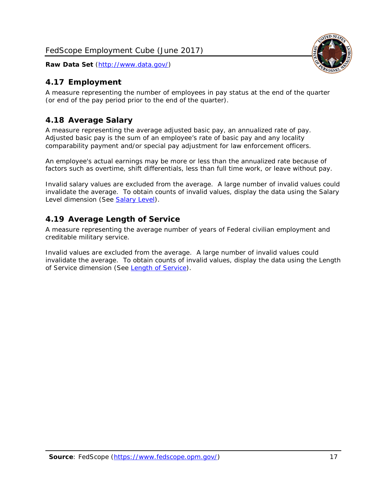#### <span id="page-17-0"></span>*4.17 Employment*

A measure representing the number of employees in pay status at the end of the quarter (or end of the pay period prior to the end of the quarter).

#### <span id="page-17-1"></span>*4.18 Average Salary*

A measure representing the average adjusted basic pay, an annualized rate of pay. Adjusted basic pay is the sum of an employee's rate of basic pay and any locality comparability payment and/or special pay adjustment for law enforcement officers.

An employee's actual earnings may be more or less than the annualized rate because of factors such as overtime, shift differentials, less than full time work, or leave without pay.

Invalid salary values are excluded from the average. A large number of invalid values could invalidate the average. To obtain counts of invalid values, display the data using the Salary Level dimension (See [Salary Level\)](#page-16-1).

#### <span id="page-17-2"></span>*4.19 Average Length of Service*

A measure representing the average number of years of Federal civilian employment and creditable military service.

Invalid values are excluded from the average. A large number of invalid values could invalidate the average. To obtain counts of invalid values, display the data using the Length of Service dimension (See [Length of Service\)](#page-15-6).